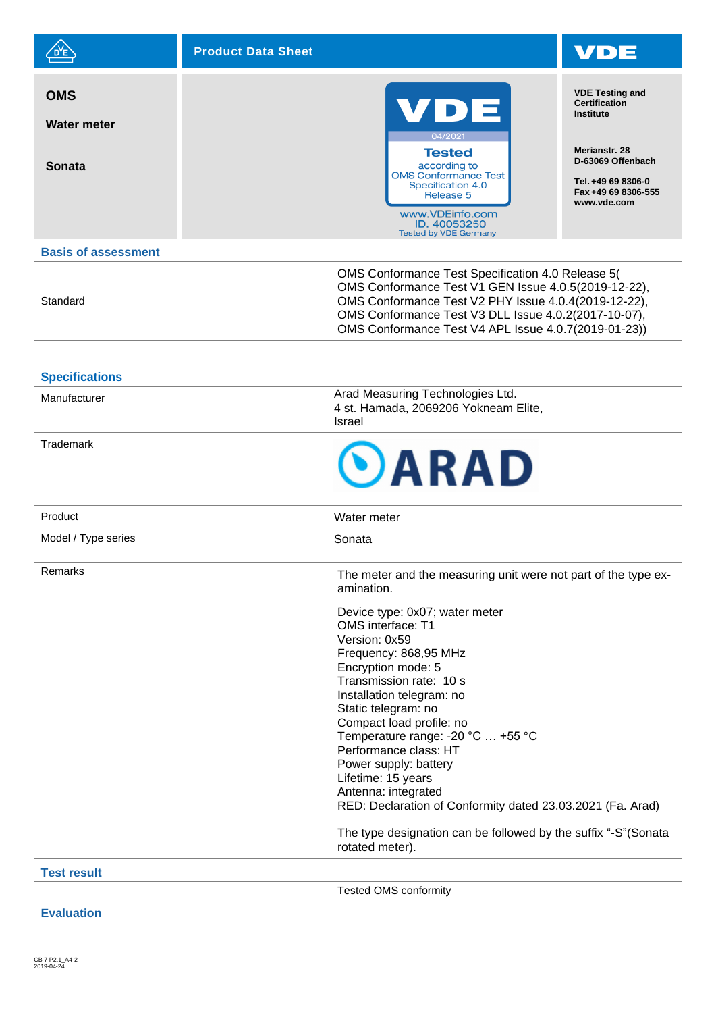|                                            | <b>Product Data Sheet</b>                                                                                                        |                                                                                                                                                                                                                                                                                   |  |
|--------------------------------------------|----------------------------------------------------------------------------------------------------------------------------------|-----------------------------------------------------------------------------------------------------------------------------------------------------------------------------------------------------------------------------------------------------------------------------------|--|
| <b>OMS</b><br>Water meter<br><b>Sonata</b> | VDE<br>04/2021<br><b>Tested</b><br>according to                                                                                  | <b>VDE Testing and</b><br><b>Certification</b><br>Institute<br>Merianstr, 28<br>D-63069 Offenbach                                                                                                                                                                                 |  |
|                                            | <b>OMS Conformance Test</b><br>Specification 4.0<br>Release 5<br>www.VDEinfo.com<br>ID. 40053250<br><b>Tested by VDE Germany</b> | Tel. +49 69 8306-0<br>Fax +49 69 8306-555<br>www.vde.com                                                                                                                                                                                                                          |  |
| <b>Basis of assessment</b>                 |                                                                                                                                  |                                                                                                                                                                                                                                                                                   |  |
| Standard                                   |                                                                                                                                  | OMS Conformance Test Specification 4.0 Release 5(<br>OMS Conformance Test V1 GEN Issue 4.0.5(2019-12-22),<br>OMS Conformance Test V2 PHY Issue 4.0.4(2019-12-22),<br>OMS Conformance Test V3 DLL Issue 4.0.2(2017-10-07),<br>OMS Conformance Test V4 APL Issue 4.0.7(2019-01-23)) |  |
| <b>Specifications</b>                      |                                                                                                                                  |                                                                                                                                                                                                                                                                                   |  |
| Manufacturer                               | Arad Measuring Technologies Ltd.<br>4 st. Hamada, 2069206 Yokneam Elite,<br><b>Israel</b>                                        |                                                                                                                                                                                                                                                                                   |  |
| Trademark                                  | OARAD                                                                                                                            |                                                                                                                                                                                                                                                                                   |  |
| Product                                    | Water meter                                                                                                                      |                                                                                                                                                                                                                                                                                   |  |
| Model / Type series                        | Sonata                                                                                                                           |                                                                                                                                                                                                                                                                                   |  |
| Remarks                                    | The meter and the measuring unit were not part of the type ex-<br>amination.                                                     |                                                                                                                                                                                                                                                                                   |  |
|                                            | Device type: 0x07; water meter<br>OMS interface: T1<br>Version: 0x59                                                             |                                                                                                                                                                                                                                                                                   |  |
|                                            | Frequency: 868,95 MHz<br>Encryption mode: 5                                                                                      |                                                                                                                                                                                                                                                                                   |  |
|                                            | Transmission rate: 10 s                                                                                                          |                                                                                                                                                                                                                                                                                   |  |
|                                            | Installation telegram: no<br>Static telegram: no                                                                                 |                                                                                                                                                                                                                                                                                   |  |
|                                            | Compact load profile: no<br>Temperature range: -20 °C  +55 °C                                                                    |                                                                                                                                                                                                                                                                                   |  |
|                                            | Performance class: HT                                                                                                            |                                                                                                                                                                                                                                                                                   |  |
|                                            | Power supply: battery<br>Lifetime: 15 years                                                                                      |                                                                                                                                                                                                                                                                                   |  |
|                                            | Antenna: integrated<br>RED: Declaration of Conformity dated 23.03.2021 (Fa. Arad)                                                |                                                                                                                                                                                                                                                                                   |  |
|                                            | The type designation can be followed by the suffix "-S" (Sonata<br>rotated meter).                                               |                                                                                                                                                                                                                                                                                   |  |
| <b>Test result</b>                         |                                                                                                                                  |                                                                                                                                                                                                                                                                                   |  |
|                                            | <b>Tested OMS conformity</b>                                                                                                     |                                                                                                                                                                                                                                                                                   |  |

**Evaluation**